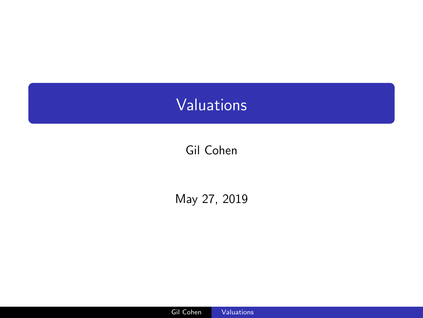# <span id="page-0-0"></span>Valuations

## Gil Cohen

May 27, 2019

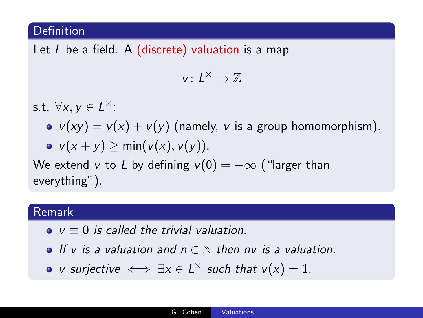#### Definition

Let  $L$  be a field. A (discrete) valuation is a map

$$
v\colon L^\times\to \mathbb{Z}
$$

s.t.  $\forall x, y \in L^{\times}$ :

- $v(xy) = v(x) + v(y)$  (namely, v is a group homomorphism).
- $v(x + y)$  > min( $v(x)$ ,  $v(y)$ ).

We extend v to L by defining  $v(0) = +\infty$  ("larger than everything").

#### Remark

- $v = 0$  is called the trivial valuation.
- **O** If y is a valuation and  $n \in \mathbb{N}$  then ny is a valuation.
- v surjective  $\iff \exists x \in L^{\times}$  such that  $v(x) = 1$ .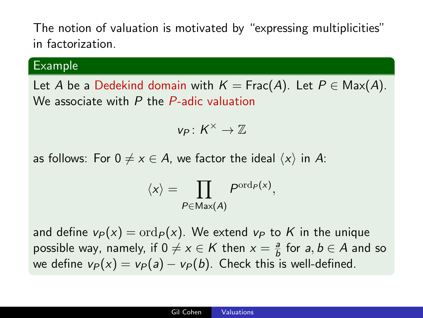The notion of valuation is motivated by "expressing multiplicities" in factorization.

#### Example

Let A be a Dedekind domain with  $K = \text{Frac}(A)$ . Let  $P \in \text{Max}(A)$ . We associate with P the P-adic valuation

$$
v_P\colon K^\times\to \mathbb{Z}
$$

as follows: For  $0 \neq x \in A$ , we factor the ideal  $\langle x \rangle$  in A:

$$
\langle x \rangle = \prod_{P \in \text{Max}(A)} P^{\text{ord}_P(x)},
$$

and define  $v_P(x) = \text{ord}_P(x)$ . We extend  $v_P$  to K in the unique possible way, namely, if  $0 \neq x \in K$  then  $x = \frac{a}{b}$  $\frac{a}{b}$  for  $a, b \in A$  and so we define  $v_P(x) = v_P(a) - v_P(b)$ . Check this is well-defined.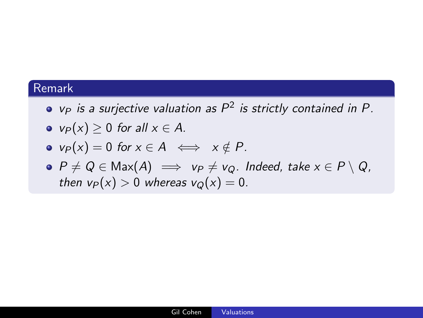#### Remark

- $v_P$  is a surjective valuation as  $P^2$  is strictly contained in P.
- $v_P(x) > 0$  for all  $x \in A$ .
- $v_P(x) = 0$  for  $x \in A \iff x \notin P$ .
- $\bullet$   $P \neq Q \in \text{Max}(A) \implies v_P \neq v_Q$ . Indeed, take  $x \in P \setminus Q$ , then  $v_P(x) > 0$  whereas  $v_Q(x) = 0$ .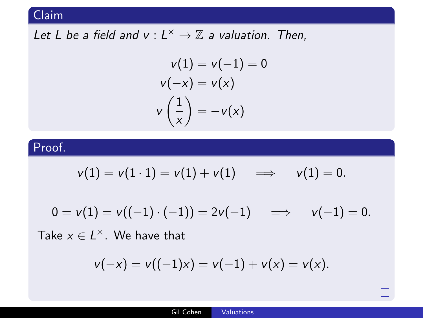## Claim

## Let L be a field and  $v : L^{\times} \to \mathbb{Z}$  a valuation. Then,

$$
v(1) = v(-1) = 0
$$
  

$$
v(-x) = v(x)
$$
  

$$
v\left(\frac{1}{x}\right) = -v(x)
$$

### Proof.

$$
v(1) = v(1 \cdot 1) = v(1) + v(1) \quad \Longrightarrow \quad v(1) = 0.
$$

$$
0 = v(1) = v((-1) \cdot (-1)) = 2v(-1) \implies v(-1) = 0.
$$

Take  $x \in L^{\times}$ . We have that

$$
v(-x) = v((-1)x) = v(-1) + v(x) = v(x).
$$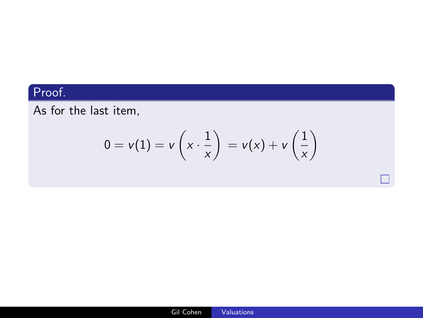## Proof.

As for the last item,

$$
0 = v(1) = v\left(x \cdot \frac{1}{x}\right) = v(x) + v\left(\frac{1}{x}\right)
$$

 $\Box$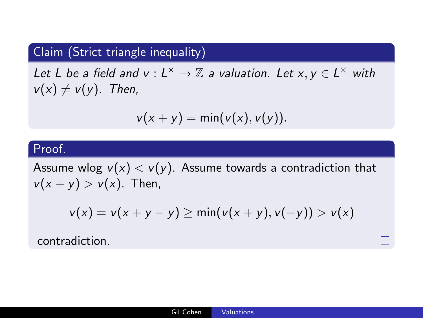## Claim (Strict triangle inequality)

Let L be a field and  $v : L^{\times} \to \mathbb{Z}$  a valuation. Let  $x, y \in L^{\times}$  with  $v(x) \neq v(y)$ . Then,

$$
v(x + y) = \min(v(x), v(y)).
$$

#### Proof.

Assume wlog  $v(x) < v(y)$ . Assume towards a contradiction that  $v(x + y) > v(x)$ . Then,

$$
v(x) = v(x + y - y) \ge \min(v(x + y), v(-y)) > v(x)
$$

contradiction.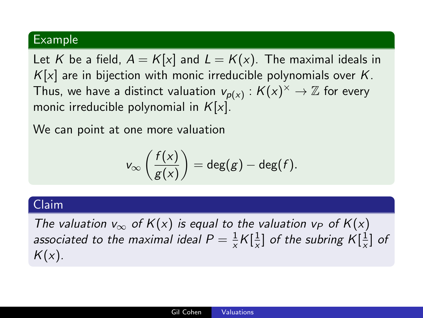#### Example

Let K be a field,  $A = K[x]$  and  $L = K(x)$ . The maximal ideals in  $K[x]$  are in bijection with monic irreducible polynomials over K. Thus, we have a distinct valuation  $\mathsf{v}_{\mathsf{p}(x)}:\mathcal{K}(x)^\times\to \mathbb{Z}$  for every monic irreducible polynomial in  $K[x]$ .

We can point at one more valuation

$$
v_{\infty}\left(\frac{f(x)}{g(x)}\right) = \deg(g) - \deg(f).
$$

#### Claim

The valuation  $v_{\infty}$  of  $K(x)$  is equal to the valuation  $v_P$  of  $K(x)$ associated to the maximal ideal  $P = \frac{1}{x} K [\frac{1}{x}]$  $\frac{1}{x}$ ] of the subring  $K[\frac{1}{x}]$  $\frac{1}{x}$ ] of  $K(x)$ .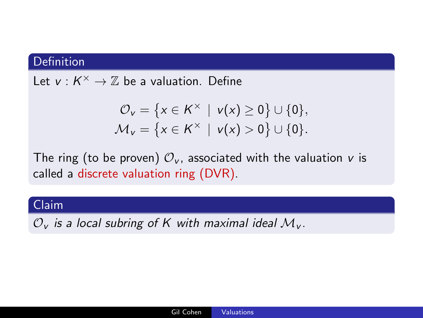#### **Definition**

Let  $v: K^{\times} \to \mathbb{Z}$  be a valuation. Define

$$
\mathcal{O}_v = \{ x \in K^\times \mid v(x) \ge 0 \} \cup \{0\}, \mathcal{M}_v = \{ x \in K^\times \mid v(x) > 0 \} \cup \{0\}.
$$

The ring (to be proven)  $\mathcal{O}_V$ , associated with the valuation v is called a discrete valuation ring (DVR).

#### Claim

 $\mathcal{O}_{v}$  is a local subring of K with maximal ideal  $\mathcal{M}_{v}$ .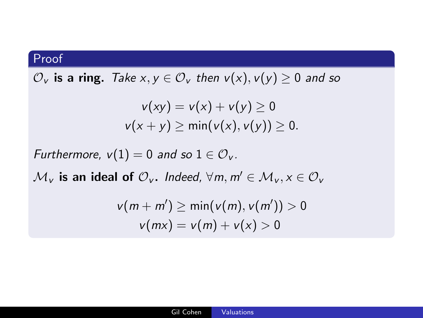#### Proof

 $\mathcal{O}_v$  is a ring. Take  $x, y \in \mathcal{O}_v$  then  $v(x), v(y) \ge 0$  and so

$$
v(xy) = v(x) + v(y) \ge 0
$$
  

$$
v(x + y) \ge \min(v(x), v(y)) \ge 0.
$$

Furthermore,  $v(1) = 0$  and so  $1 \in \mathcal{O}_V$ .

 $\mathcal{M}_v$  is an ideal of  $\mathcal{O}_v$ . Indeed,  $\forall m, m' \in \mathcal{M}_v, x \in \mathcal{O}_v$ 

$$
v(m+m') \geq \min(v(m), v(m')) > 0
$$
  

$$
v(mx) = v(m) + v(x) > 0
$$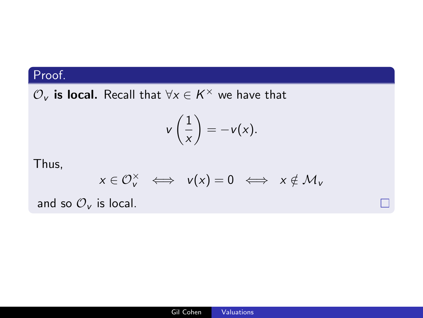## Proof.

 $\mathcal{O}_{\mathsf{v}}$  is local. Recall that  $\forall \mathsf{x} \in \mathsf{K}^\times$  we have that

$$
v\left(\frac{1}{x}\right) = -v(x).
$$

Thus,

$$
x\in \mathcal{O}_v^\times \;\iff\; v(x)=0 \;\iff\; x\notin \mathcal{M}_v
$$

П

and so  $\mathcal{O}_V$  is local.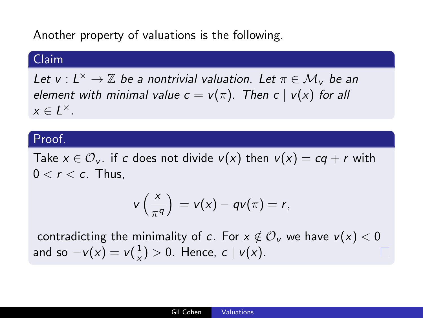Another property of valuations is the following.

#### Claim

Let  $v: L^{\times} \to \mathbb{Z}$  be a nontrivial valuation. Let  $\pi \in \mathcal{M}_{v}$  be an element with minimal value  $c = v(\pi)$ . Then  $c | v(x)$  for all  $x \in L^{\times}$ .

#### Proof.

Take  $x \in \mathcal{O}_V$  if c does not divide  $v(x)$  then  $v(x) = cq + r$  with  $0 < r < c$ . Thus,

$$
v\left(\frac{x}{\pi^q}\right) = v(x) - qv(\pi) = r,
$$

contradicting the minimality of c. For  $x \notin \mathcal{O}_v$  we have  $v(x) < 0$ and so  $-v(x) = v(\frac{1}{x})$  $\frac{1}{x}$ ) > 0. Hence,  $c | v(x)$ .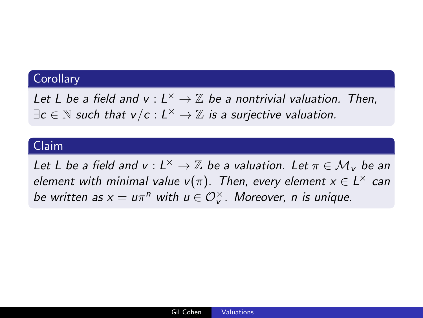#### **Corollary**

Let L be a field and  $v : L^{\times} \to \mathbb{Z}$  be a nontrivial valuation. Then,  $\exists c \in \mathbb{N}$  such that  $v/c: L^{\times} \to \mathbb{Z}$  is a surjective valuation.

#### Claim

Let L be a field and  $v: L^{\times} \to \mathbb{Z}$  be a valuation. Let  $\pi \in \mathcal{M}_{v}$  be an element with minimal value  $v(\pi)$ . Then, every element  $x \in L^{\times}$  can be written as  $x = u\pi^n$  with  $u \in \mathcal{O}_v^\times$ . Moreover, n is unique.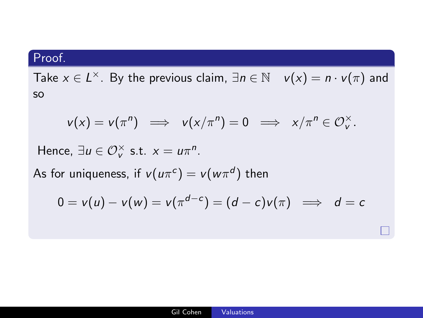## Proof.

Take  $x \in L^{\times}$ . By the previous claim,  $\exists n \in \mathbb{N}$   $v(x) = n \cdot v(\pi)$  and so

$$
v(x) = v(\pi^n) \implies v(x/\pi^n) = 0 \implies x/\pi^n \in \mathcal{O}_v^{\times}.
$$

Hence,  $\exists u \in \mathcal{O}_v^\times$  s.t.  $x = u\pi^n$ .

As for uniqueness, if  $v(u\pi^c)=v(w\pi^d)$  then

$$
0 = v(u) - v(w) = v(\pi^{d-c}) = (d-c)v(\pi) \implies d = c
$$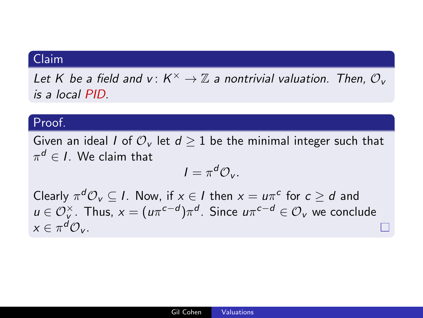#### Claim

Let K be a field and  $v\colon K^\times \to \mathbb{Z}$  a nontrivial valuation. Then,  $\mathcal{O}_v$ is a local PID.

#### Proof.

Given an ideal I of  $\mathcal{O}_{v}$  let  $d > 1$  be the minimal integer such that  $\pi^{\bm{d}} \in I.$  We claim that

$$
I=\pi^d\mathcal{O}_v.
$$

Clearly  $\pi^d \mathcal{O}_v \subseteq I$ . Now, if  $x \in I$  then  $x = u\pi^c$  for  $c \geq d$  and  $u\in \mathcal{O}_\mathsf{v}^\times$ . Thus,  $x=(u\pi^{c-d})\pi^d$ . Since  $u\pi^{c-d}\in \mathcal{O}_\mathsf{v}$  we conclude  $x \in \pi^d \mathcal{O}_V$ .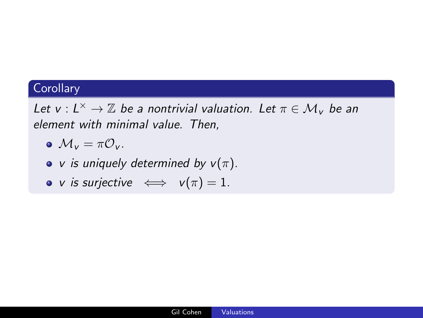## **Corollary**

Let  $v: L^{\times} \to \mathbb{Z}$  be a nontrivial valuation. Let  $\pi \in \mathcal{M}_{v}$  be an element with minimal value. Then,

- $\bullet M_v = \pi \mathcal{O}_v$ .
- v is uniquely determined by  $v(\pi)$ .
- v is surjective  $\iff v(\pi) = 1$ .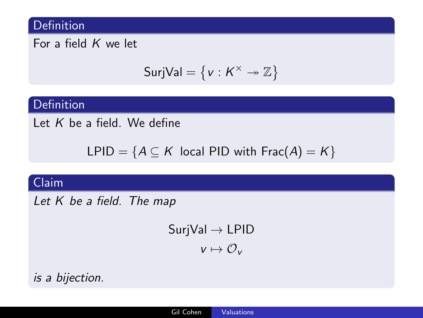#### Definition

For a field  $K$  we let

$$
SurjVal = \{v: K^\times \twoheadrightarrow \mathbb{Z}\}
$$

#### Definition

Let  $K$  be a field. We define

LPID =  ${A \subseteq K}$  local PID with Frac(A) = K}

## Claim

Let K be a field. The map

 $SurjVal \rightarrow LPID$  $v \mapsto \mathcal{O}_v$ 

is a bijection.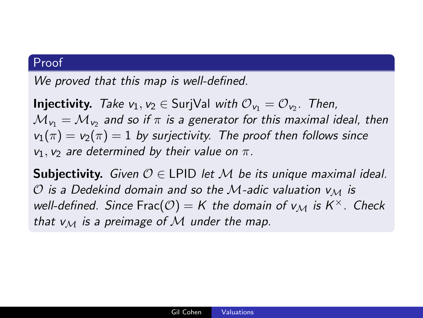#### Proof

We proved that this map is well-defined.

**Injectivity.** Take  $v_1, v_2 \in$  SurjVal with  $\mathcal{O}_{v_1} = \mathcal{O}_{v_2}$ . Then,  $\mathcal{M}_{\mathsf{v}_1}=\mathcal{M}_{\mathsf{v}_2}$  and so if  $\pi$  is a generator for this maximal ideal, then  $v_1(\pi) = v_2(\pi) = 1$  by surjectivity. The proof then follows since  $v_1$ ,  $v_2$  are determined by their value on  $\pi$ .

**Subjectivity.** Given  $\mathcal{O} \in L$ PID let M be its unique maximal ideal.  $O$  is a Dedekind domain and so the M-adic valuation  $V_M$  is well-defined. Since Frac $(\mathcal{O}) = K$  the domain of  $v_{\mathcal{M}}$  is  $K^{\times}$ . Check that  $v_M$  is a preimage of M under the map.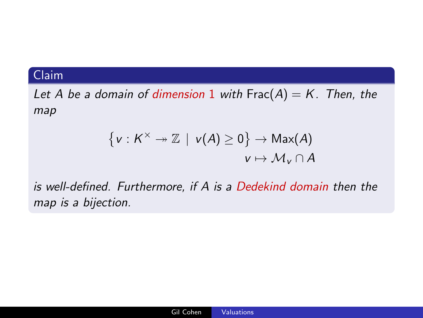### Claim

Let A be a domain of dimension 1 with  $Frac(A) = K$ . Then, the map

$$
\{v: K^{\times} \to \mathbb{Z} \mid v(A) \geq 0\} \to \text{Max}(A)
$$
  

$$
v \mapsto \mathcal{M}_v \cap A
$$

is well-defined. Furthermore, if A is a Dedekind domain then the map is a bijection.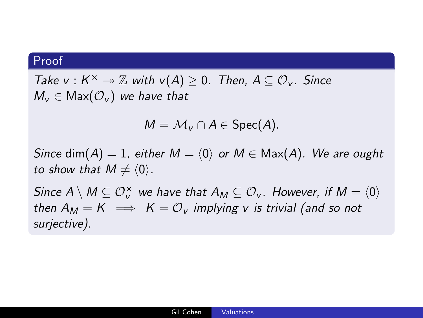#### Proof

Take  $v: K^{\times} \to \mathbb{Z}$  with  $v(A) \geq 0$ . Then,  $A \subseteq \mathcal{O}_v$ . Since  $M_v \in \text{Max}(\mathcal{O}_v)$  we have that

$$
M = \mathcal{M}_{\mathsf{v}} \cap A \in \mathsf{Spec}(A).
$$

Since dim(A) = 1, either  $M = \langle 0 \rangle$  or  $M \in Max(A)$ . We are ought to show that  $M \neq \langle 0 \rangle$ .

Since  $A\setminus M\subseteq \mathcal{O}_v^{\times}$  we have that  $A_M\subseteq \mathcal{O}_v$ . However, if  $M=\langle 0\rangle$ then  $A_M = K \implies K = \mathcal{O}_V$  implying v is trivial (and so not surjective).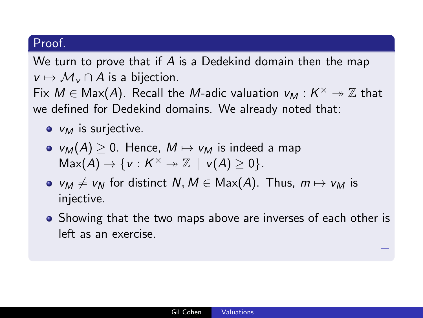#### Proof.

We turn to prove that if A is a Dedekind domain then the map  $v \mapsto \mathcal{M}_v \cap A$  is a bijection.

Fix  $M \in \text{Max}(A)$ . Recall the M-adic valuation  $v_M : K^\times \twoheadrightarrow \mathbb{Z}$  that we defined for Dedekind domains. We already noted that:

- $\bullet$   $V_M$  is surjective.
- $v_M(A) \geq 0$ . Hence,  $M \mapsto v_M$  is indeed a map  $Max(A) \rightarrow \{v: K^{\times} \rightarrow \mathbb{Z} \mid v(A) \geq 0\}.$
- $v_M \neq v_N$  for distinct  $N, M \in \text{Max}(A)$ . Thus,  $m \mapsto v_M$  is injective.
- Showing that the two maps above are inverses of each other is left as an exercise.